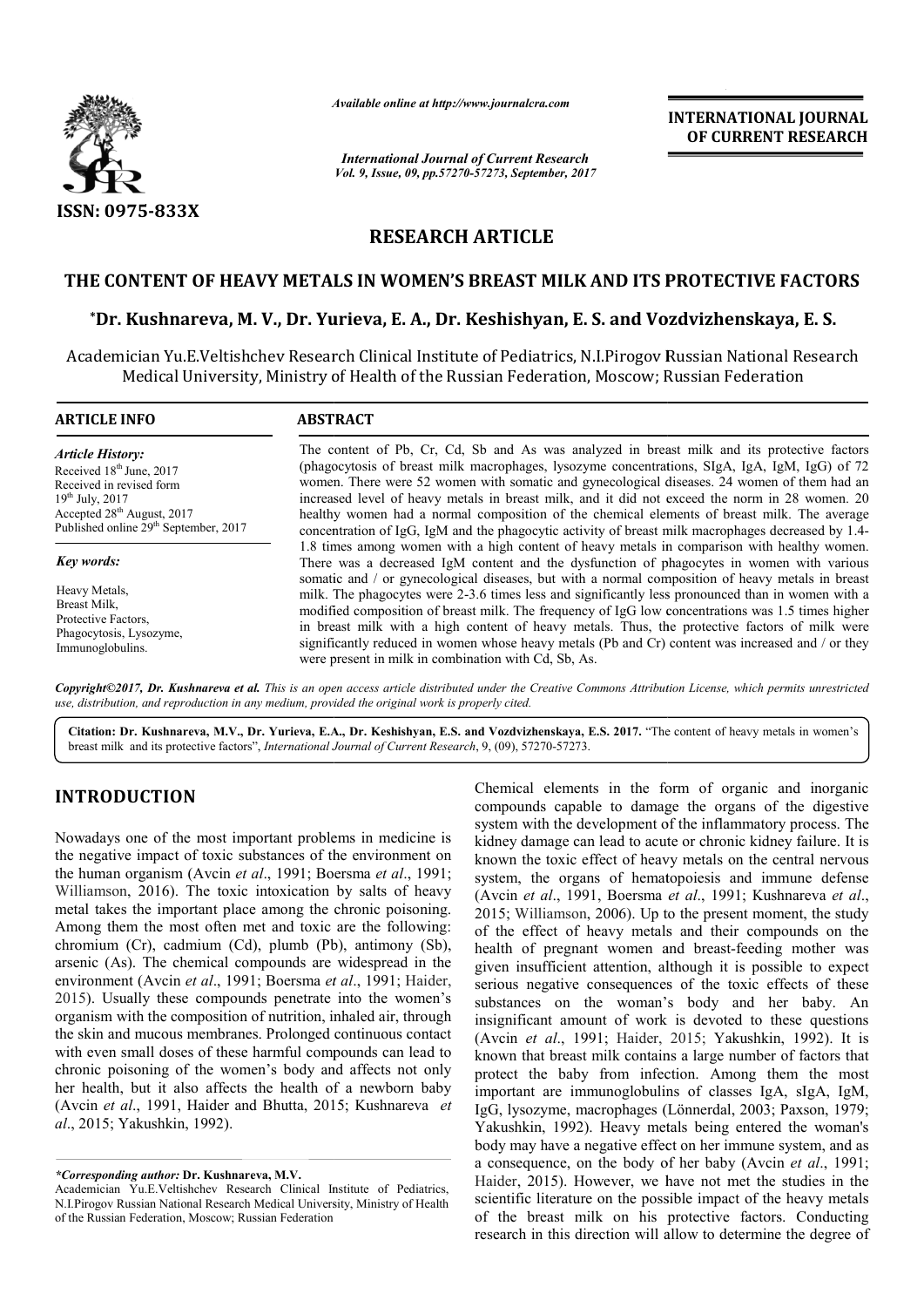

*Available online at http://www.journal http://www.journalcra.com*

*International Journal of Current Research Vol. 9, Issue, 09, pp.57270-57273, September, 2017* **INTERNATIONAL JOURNAL OF CURRENT RESEARCH** 

# **RESEARCH ARTICLE**

# **THE CONTENT OF HEAVY METALS IN WOMEN'S BREAST MILK AND ITS PROTECTIVE FACTORS** E CONTENT OF HEAVY METALS IN WOMEN'S BREAST MILK AND ITS PROTECTIVE FACTORS<br>\*Dr. Kushnareva, M. V., Dr. Yurieva, E. A., Dr. Keshishyan, E. S. and Vozdvizhenskaya, E. S.

Academician Yu.E.Veltishchev Research Clinical Institute of Pediatrics, N.I.Pirogov Russian National Research nician Yu.E.Veltishchev Research Clinical Institute of Pediatrics, N.I.Pirogov Russian National R<br>Medical University, Ministry of Health of the Russian Federation, Moscow; Russian Federation

| <b>ARTICLE INFO</b>                                                                                                                                                                                                                                                                                                                     | <b>ABSTRACT</b>                                                                                                                                                                                                                                                                                                                                                                                                                                                                                                                                                                                                                                                                                                                                                      |  |  |  |  |
|-----------------------------------------------------------------------------------------------------------------------------------------------------------------------------------------------------------------------------------------------------------------------------------------------------------------------------------------|----------------------------------------------------------------------------------------------------------------------------------------------------------------------------------------------------------------------------------------------------------------------------------------------------------------------------------------------------------------------------------------------------------------------------------------------------------------------------------------------------------------------------------------------------------------------------------------------------------------------------------------------------------------------------------------------------------------------------------------------------------------------|--|--|--|--|
| <b>Article History:</b><br>Received 18 <sup>th</sup> June, 2017<br>Received in revised form<br>$19^{th}$ July, 2017<br>Accepted 28 <sup>th</sup> August, 2017<br>Published online 29 <sup>th</sup> September, 2017<br>Key words:<br>Heavy Metals.<br>Breast Milk.<br>Protective Factors.<br>Phagocytosis, Lysozyme,<br>Immunoglobulins. | The content of Pb, Cr, Cd, Sb and As was analyzed in breast milk and its protective factors<br>(phagocytosis of breast milk macrophages, lysozyme concentrations, SIgA, IgA, IgM, IgG) of 72<br>women. There were 52 women with somatic and gynecological diseases. 24 women of them had an<br>increased level of heavy metals in breast milk, and it did not exceed the norm in 28 women. 20<br>healthy women had a normal composition of the chemical elements of breast milk. The average<br>concentration of IgG, IgM and the phagocytic activity of breast milk macrophages decreased by 1.4-                                                                                                                                                                   |  |  |  |  |
|                                                                                                                                                                                                                                                                                                                                         | 1.8 times among women with a high content of heavy metals in comparison with healthy women.<br>There was a decreased IgM content and the dysfunction of phagocytes in women with various<br>somatic and / or gynecological diseases, but with a normal composition of heavy metals in breast<br>milk. The phagocytes were 2-3.6 times less and significantly less pronounced than in women with a<br>modified composition of breast milk. The frequency of IgG low concentrations was 1.5 times higher<br>in breast milk with a high content of heavy metals. Thus, the protective factors of milk were<br>significantly reduced in women whose heavy metals (Pb and Cr) content was increased and / or they<br>were present in milk in combination with Cd, Sb, As. |  |  |  |  |

*Copyright©2017, Dr. Kushnareva et al. This is an open access article distributed under the Creative Commons Att Attribution License, which ribution License, permits unrestricted use, distribution, and reproduction in any medium, provided the original work is properly cited.*

Citation: Dr. Kushnareva, M.V., Dr. Yurieva, E.A., Dr. Keshishyan, E.S. and Vozdvizhenskaya, E.S. 2017. "The content of heavy metals in women's breast milk and its protective factors", *International Journal of Current Research* , 9, (09), 57270-57273.

# **INTRODUCTION**

Nowadays one of the most important problems in medicine is the negative impact of toxic substances of the environment on the human organism (Avcin *et al*., 1991; Boersma *et al*., 1991; Williamson, 2016). The toxic intoxication by salts of heavy metal takes the important place among the chronic poisoning. Among them the most often met and toxic are the following: chromium (Cr), cadmium (Cd), plumb (Pb), antimony (Sb), arsenic (As). The chemical compounds are widespread in the Williamson, 2016). The toxic intoxication by salts of heavy metal takes the important place among the chronic poisoning. Among them the most often met and toxic are the following: chromium (Cr), cadmium (Cd), plumb (Pb), a 2015). Usually these compounds penetrate into the women's organism with the composition of nutrition, inhaled air, through the skin and mucous membranes. Prolonged continuous contact with even small doses of these harmful compounds can lead to chronic poisoning of the women's body and affects not only her health, but it also affects the health of a newborn baby (Avcin *et al*., 1991, Haider and Bhutta, 2015 2015; Kushnareva *et al*., 2015; Yakushkin, 1992).

*\*Corresponding author:* **Dr. Kushnareva, M.V.**

Chemical elements in the form of organic and inorganic compounds capable to damage the organs of the digestive Chemical elements in the form of organic and inorganic compounds capable to damage the organs of the digestive system with the development of the inflammatory process. The kidney damage can lead to acute or chronic kidney failure. It is known the toxic effect of heavy metals on the central nervous kidney damage can lead to acute or chronic kidney failure. It is<br>known the toxic effect of heavy metals on the central nervous<br>system, the organs of hematopoiesis and immune defense (Avcin *et al*., 1991, Boersma *et al*., 1991; Kushnareva *et al*., 2015; Williamson, 2006). Up to the present moment, the study of the effect of heavy metals and their compounds on the health of pregnant women and breast-feeding mother was given insufficient attention, although it is possible to expect serious negative consequences of the toxic effects of these substances on the woman's body and her baby. An insignificant amount of work is devoted to these questions given insufficient attention, although it is possible to expect<br>serious negative consequences of the toxic effects of these<br>substances on the woman's body and her baby. An<br>insignificant amount of work is devoted to these q known that breast milk contains a large number of factors that protect the baby from infection. Among them the most important are immunoglobulins of classes IgA, sIgA, IgM, IgG, lysozyme, macrophages (Lönnerdal, 2003; Paxson, 1979; Yakushkin, 1992). Heavy metals being entered the woman's body may have a negative effect on her immune system, and as Yakushkin, 1992). Heavy metals being entered the woman's body may have a negative effect on her immune system, and as a consequence, on the body of her baby (Avcin *et al.*, 1991; Haider, 2015). However, we have not met the studies in the scientific literature on the possible impact of the heavy metals of the breast milk on his protective factors. factors. Conducting research in this direction will allow to determine the degree of 5; Williamson, 2006). Up to the present moment, the study the effect of heavy metals and their compounds on the lth of pregnant women and breast-feeding mother was hat breast milk contains a large number of factors that<br>the baby from infection. Among them the most<br>it are immunoglobulins of classes IgA, sIgA, IgM,<br>payme, macrophages (Lönnerdal, 2003; Paxson, 1979; INTERNATIONAL JOURNAL<br> **INTERNATIONAL JOURNAL**<br> **INTERNATIONAL JOURNAL**<br> **IDENTIFY (CONDITIENT)**<br> **IDENTIFY (CONDITIENT)**<br> **IDENTIFY (CONDITIENT)**<br> **IDENTIFY (CONDITIENT)**<br> **IDENTIFY (CONDITIENT)**<br> **IDENTIFY (CONDITIENT)** 

Academician Yu.E.Veltishchev Research Clinical Institute of Pediatrics, N.I.Pirogov Russian National Research Medical University, Ministry of Health of the Russian Federation, Moscow; Russian Federation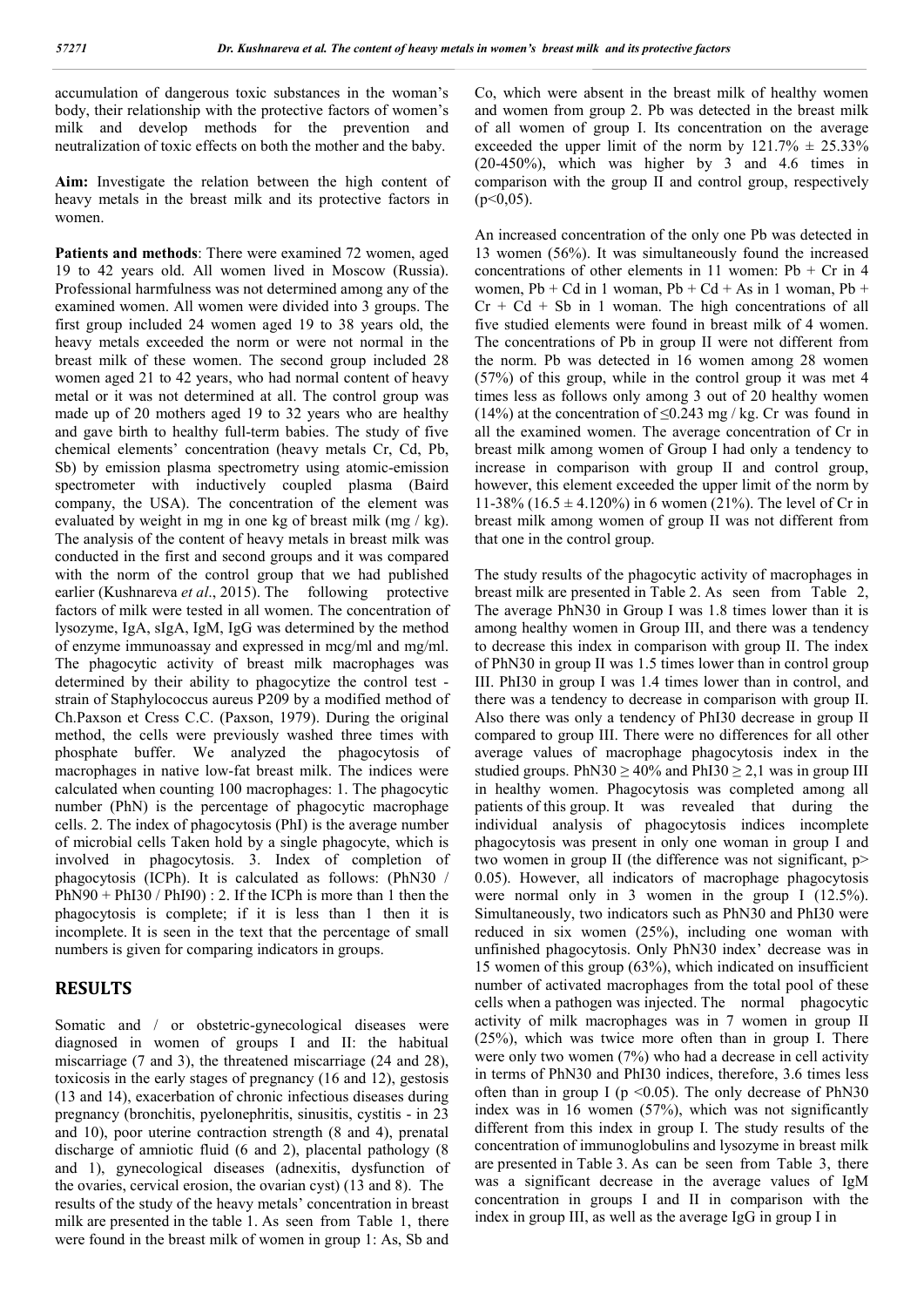accumulation of dangerous toxic substances in the woman's body, their relationship with the protective factors of women's milk and develop methods for the prevention and neutralization of toxic effects on both the mother and the baby.

**Aim:** Investigate the relation between the high content of heavy metals in the breast milk and its protective factors in women.

**Patients and methods**: There were examined 72 women, aged 19 to 42 years old. All women lived in Moscow (Russia). Professional harmfulness was not determined among any of the examined women. All women were divided into 3 groups. The first group included 24 women aged 19 to 38 years old, the heavy metals exceeded the norm or were not normal in the breast milk of these women. The second group included 28 women aged 21 to 42 years, who had normal content of heavy metal or it was not determined at all. The control group was made up of 20 mothers aged 19 to 32 years who are healthy and gave birth to healthy full-term babies. The study of five chemical elements' concentration (heavy metals Cr, Cd, Pb, Sb) by emission plasma spectrometry using atomic-emission spectrometer with inductively coupled plasma (Baird company, the USA). The concentration of the element was evaluated by weight in mg in one kg of breast milk (mg / kg). The analysis of the content of heavy metals in breast milk was conducted in the first and second groups and it was compared with the norm of the control group that we had published earlier (Kushnareva et al., 2015). The following protective factors of milk were tested in all women. The concentration of lysozyme, IgA, sIgA, IgM, IgG was determined by the method of enzyme immunoassay and expressed in mcg/ml and mg/ml. The phagocytic activity of breast milk macrophages was determined by their ability to phagocytize the control test strain of Staphylococcus aureus P209 by a modified method of Ch.Paxson et Cress C.C. (Paxson, 1979). During the original method, the cells were previously washed three times with phosphate buffer. We analyzed the phagocytosis of macrophages in native low-fat breast milk. The indices were calculated when counting 100 macrophages: 1. The phagocytic number (PhN) is the percentage of phagocytic macrophage cells. 2. The index of phagocytosis (PhI) is the average number of microbial cells Taken hold by a single phagocyte, which is involved in phagocytosis. 3. Index of completion of phagocytosis (ICPh). It is calculated as follows: (PhN30 /  $PhN90 + PhI30 / PhI90)$ : 2. If the ICPh is more than 1 then the phagocytosis is complete; if it is less than 1 then it is incomplete. It is seen in the text that the percentage of small numbers is given for comparing indicators in groups.

## **RESULTS**

Somatic and / or obstetric-gynecological diseases were diagnosed in women of groups I and II: the habitual miscarriage (7 and 3), the threatened miscarriage (24 and 28), toxicosis in the early stages of pregnancy (16 and 12), gestosis (13 and 14), exacerbation of chronic infectious diseases during pregnancy (bronchitis, pyelonephritis, sinusitis, cystitis - in 23 and 10), poor uterine contraction strength (8 and 4), prenatal discharge of amniotic fluid (6 and 2), placental pathology (8 and 1), gynecological diseases (adnexitis, dysfunction of the ovaries, cervical erosion, the ovarian cyst) (13 and 8). The results of the study of the heavy metals' concentration in breast milk are presented in the table 1. As seen from Table 1, there were found in the breast milk of women in group 1: As, Sb and

Co, which were absent in the breast milk of healthy women and women from group 2. Pb was detected in the breast milk of all women of group I. Its concentration on the average exceeded the upper limit of the norm by  $121.7\% \pm 25.33\%$ (20-450%), which was higher by 3 and 4.6 times in comparison with the group II and control group, respectively  $(p<0.05)$ .

An increased concentration of the only one Pb was detected in 13 women (56%). It was simultaneously found the increased concentrations of other elements in 11 women:  $Pb + Cr$  in 4 women,  $Pb + Cd$  in 1 woman,  $Pb + Cd + As$  in 1 woman,  $Pb +$  $Cr + Cd + Sb$  in 1 woman. The high concentrations of all five studied elements were found in breast milk of 4 women. The concentrations of Pb in group II were not different from the norm. Pb was detected in 16 women among 28 women (57%) of this group, while in the control group it was met 4 times less as follows only among 3 out of 20 healthy women (14%) at the concentration of  $\leq 0.243$  mg / kg. Cr was found in all the examined women. The average concentration of Cr in breast milk among women of Group I had only a tendency to increase in comparison with group II and control group, however, this element exceeded the upper limit of the norm by 11-38% (16.5  $\pm$  4.120%) in 6 women (21%). The level of Cr in breast milk among women of group II was not different from that one in the control group.

The study results of the phagocytic activity of macrophages in breast milk are presented in Table 2. As seen from Table 2, The average PhN30 in Group I was 1.8 times lower than it is among healthy women in Group III, and there was a tendency to decrease this index in comparison with group II. The index of PhN30 in group II was 1.5 times lower than in control group III. PhI30 in group I was 1.4 times lower than in control, and there was a tendency to decrease in comparison with group II. Also there was only a tendency of PhI30 decrease in group II compared to group III. There were no differences for all other average values of macrophage phagocytosis index in the studied groups. PhN30  $\geq$  40% and PhI30  $\geq$  2,1 was in group III in healthy women. Phagocytosis was completed among all patients of this group. It was revealed that during the individual analysis of phagocytosis indices incomplete phagocytosis was present in only one woman in group I and two women in group II (the difference was not significant, p> 0.05). However, all indicators of macrophage phagocytosis were normal only in 3 women in the group I (12.5%). Simultaneously, two indicators such as PhN30 and PhI30 were reduced in six women (25%), including one woman with unfinished phagocytosis. Only PhN30 index' decrease was in 15 women of this group (63%), which indicated on insufficient number of activated macrophages from the total pool of these cells when a pathogen was injected. The normal phagocytic activity of milk macrophages was in 7 women in group II (25%), which was twice more often than in group I. There were only two women (7%) who had a decrease in cell activity in terms of PhN30 and PhI30 indices, therefore, 3.6 times less often than in group I ( $p \le 0.05$ ). The only decrease of PhN30 index was in 16 women (57%), which was not significantly different from this index in group I. The study results of the concentration of immunoglobulins and lysozyme in breast milk are presented in Table 3. As can be seen from Table 3, there was a significant decrease in the average values of IgM concentration in groups I and II in comparison with the index in group III, as well as the average IgG in group I in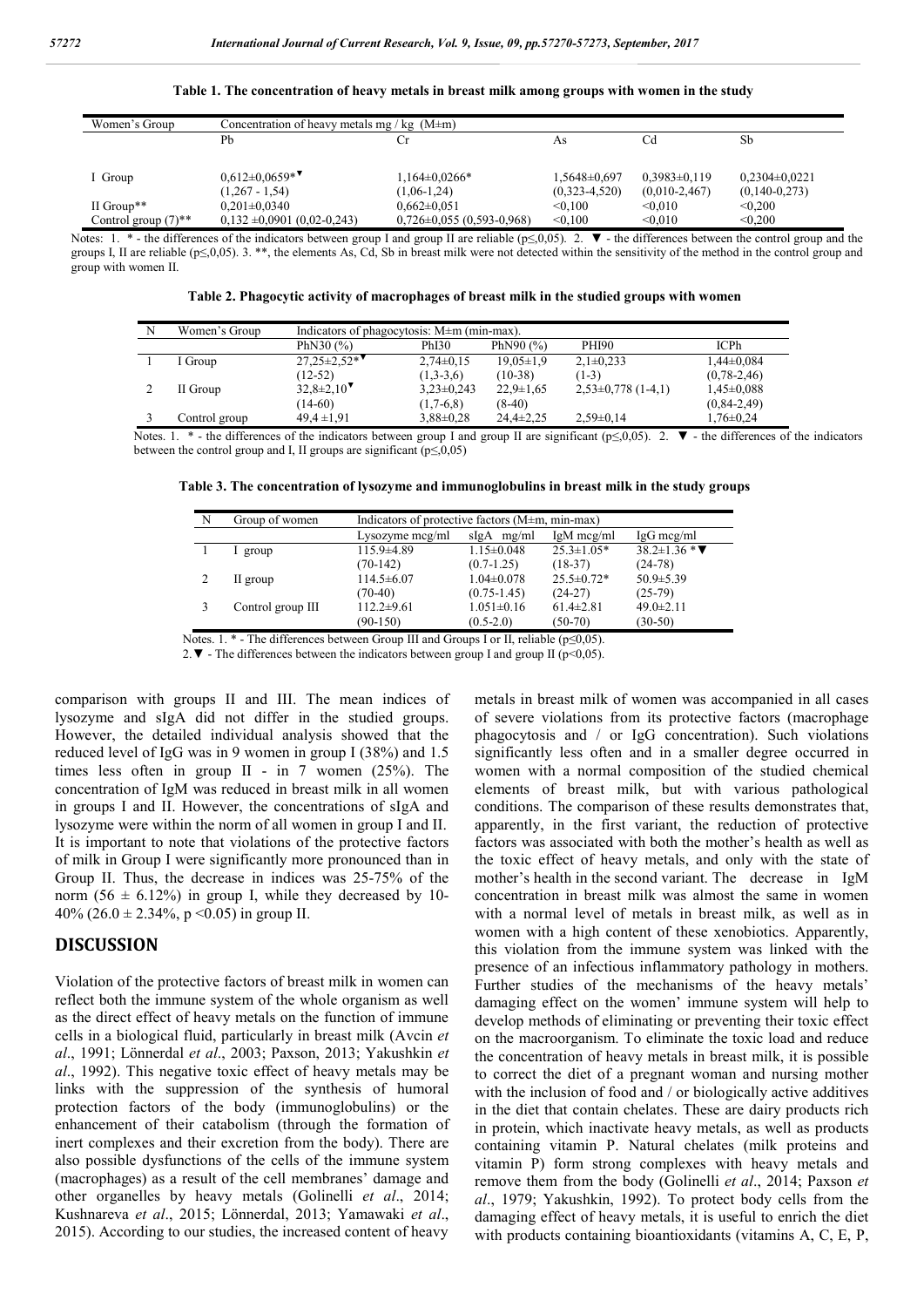| Women's Group                     | Concentration of heavy metals mg / kg $(M \pm m)$ |                                 |                 |                  |                   |  |
|-----------------------------------|---------------------------------------------------|---------------------------------|-----------------|------------------|-------------------|--|
|                                   | Pb                                                | Сr                              | As              | Cd               | Sb                |  |
|                                   |                                                   |                                 |                 |                  |                   |  |
| I Group                           | $0.612 \pm 0.0659$ *                              | $1,164\pm0.0266*$               | 1,5648±0,697    | $0.3983\pm0.119$ | $0,2304\pm0,0221$ |  |
|                                   | $(1,267 - 1,54)$                                  | $(1,06-1,24)$                   | $(0,323-4,520)$ | $(0,010-2,467)$  | $(0,140-0,273)$   |  |
| II Group**                        | $0.201 \pm 0.0340$                                | $0.662 \pm 0.051$               | < 0.100         | < 0.010          | < 0.200           |  |
| Control group $(7)$ <sup>**</sup> | $0.132 \pm 0.0901$ (0.02-0.243)                   | $0,726 \pm 0,055$ (0.593-0.968) | < 0.100         | < 0.010          | < 0.200           |  |

**Table 1. The concentration of heavy metals in breast milk among groups with women in the study**

Notes: 1. \* - the differences of the indicators between group I and group II are reliable ( $p\leq 0.05$ ). 2.  $\blacktriangledown$  - the differences between the control group and the groups I, II are reliable ( $p \le 0.05$ ). 3. \*\*, the elements As, Cd, Sb in breast milk were not detected within the sensitivity of the method in the control group and group with women II.

| Table 2. Phagocytic activity of macrophages of breast milk in the studied groups with women |  |  |
|---------------------------------------------------------------------------------------------|--|--|
|                                                                                             |  |  |

| N | Women's Group | Indicators of phagocytosis: $M \pm m$ (min-max). |                 |                 |                        |                   |
|---|---------------|--------------------------------------------------|-----------------|-----------------|------------------------|-------------------|
|   |               | PhN30 $(%)$                                      | PhI30           | PhN90 $(%)$     | <b>PHI90</b>           | <b>ICPh</b>       |
|   | I Group       | $27.25 \pm 2.52*$                                | $2,74\pm0,15$   | $19.05 \pm 1.9$ | $2.1 \pm 0.233$        | $1,44\pm0,084$    |
|   |               | $(12-52)$                                        | $(1,3-3,6)$     | $(10-38)$       | $(1-3)$                | $(0.78 - 2.46)$   |
|   | II Group      | $32.8 \pm 2.10$ <sup>V</sup>                     | $3,23\pm0,243$  | $22.9 \pm 1.65$ | $2,53\pm0,778$ (1-4,1) | $1,45\pm0,088$    |
|   |               | $(14-60)$                                        | $(1,7-6,8)$     | $(8-40)$        |                        | $(0, 84 - 2, 49)$ |
|   | Control group | $49.4 \pm 1.91$                                  | $3.88 \pm 0.28$ | $24.4 \pm 2.25$ | $2.59 \pm 0.14$        | $1.76 \pm 0.24$   |

Notes. 1. \* - the differences of the indicators between group I and group II are significant ( $p \le 0.05$ ). 2.  $\blacktriangledown$  - the differences of the indicators between the control group and I, II groups are significant  $(p \le 0.05)$ 

**Table 3. The concentration of lysozyme and immunoglobulins in breast milk in the study groups**

| N | Group of women    | Indicators of protective factors $(M \pm m, m \in m)$ |                  |                  |                          |  |
|---|-------------------|-------------------------------------------------------|------------------|------------------|--------------------------|--|
|   |                   | Lysozyme mcg/ml                                       | mg/ml<br>sIgA    | $IgM$ mcg/ml     | $IgG$ mcg/ml             |  |
|   | group             | 115.9±4.89                                            | $1.15 \pm 0.048$ | $25.3 \pm 1.05*$ | $38.2 \pm 1.36 * \nabla$ |  |
|   |                   | $(70-142)$                                            | $(0.7-1.25)$     | $(18-37)$        | $(24-78)$                |  |
| 2 | II group          | $114.5 \pm 6.07$                                      | $1.04 \pm 0.078$ | $25.5 \pm 0.72*$ | $50.9 \pm 5.39$          |  |
|   |                   | $(70-40)$                                             | $(0.75 - 1.45)$  | $(24-27)$        | $(25-79)$                |  |
|   | Control group III | $112.2 \pm 9.61$                                      | $1.051 \pm 0.16$ | $61.4\pm2.81$    | $49.0 \pm 2.11$          |  |
|   |                   | $(90-150)$                                            | $(0.5 - 2.0)$    | $(50-70)$        | $(30-50)$                |  |

Notes. 1.  $*$  - The differences between Group III and Groups I or II, reliable ( $p \le 0.05$ ).

2. ▼ - The differences between the indicators between group I and group II ( $p$  < 0,05).

comparison with groups II and III. The mean indices of lysozyme and sIgA did not differ in the studied groups. However, the detailed individual analysis showed that the reduced level of IgG was in 9 women in group I (38%) and 1.5 times less often in group II - in 7 women (25%). The concentration of IgM was reduced in breast milk in all women in groups I and II. However, the concentrations of sIgA and lysozyme were within the norm of all women in group I and II. It is important to note that violations of the protective factors of milk in Group I were significantly more pronounced than in Group II. Thus, the decrease in indices was 25-75% of the norm (56  $\pm$  6.12%) in group I, while they decreased by 10-40% (26.0  $\pm$  2.34%, p < 0.05) in group II.

#### **DISCUSSION**

Violation of the protective factors of breast milk in women can reflect both the immune system of the whole organism as well as the direct effect of heavy metals on the function of immune cells in a biological fluid, particularly in breast milk (Avcin *et al*., 1991; Lönnerdal *et al*., 2003; Paxson, 2013; Yakushkin *et al*., 1992). This negative toxic effect of heavy metals may be links with the suppression of the synthesis of humoral protection factors of the body (immunoglobulins) or the enhancement of their catabolism (through the formation of inert complexes and their excretion from the body). There are also possible dysfunctions of the cells of the immune system (macrophages) as a result of the cell membranes' damage and other organelles by heavy metals (Golinelli *et al*., 2014; Kushnareva *et al*., 2015; Lönnerdal, 2013; Yamawaki *et al*., 2015). According to our studies, the increased content of heavy

metals in breast milk of women was accompanied in all cases of severe violations from its protective factors (macrophage phagocytosis and / or IgG concentration). Such violations significantly less often and in a smaller degree occurred in women with a normal composition of the studied chemical elements of breast milk, but with various pathological conditions. The comparison of these results demonstrates that, apparently, in the first variant, the reduction of protective factors was associated with both the mother's health as well as the toxic effect of heavy metals, and only with the state of mother's health in the second variant. The decrease in IgM concentration in breast milk was almost the same in women with a normal level of metals in breast milk, as well as in women with a high content of these xenobiotics. Apparently, this violation from the immune system was linked with the presence of an infectious inflammatory pathology in mothers. Further studies of the mechanisms of the heavy metals' damaging effect on the women' immune system will help to develop methods of eliminating or preventing their toxic effect on the macroorganism. To eliminate the toxic load and reduce the concentration of heavy metals in breast milk, it is possible to correct the diet of a pregnant woman and nursing mother with the inclusion of food and / or biologically active additives in the diet that contain chelates. These are dairy products rich in protein, which inactivate heavy metals, as well as products containing vitamin P. Natural chelates (milk proteins and vitamin P) form strong complexes with heavy metals and remove them from the body (Golinelli *et al*., 2014; Paxson *et al*., 1979; Yakushkin, 1992). To protect body cells from the damaging effect of heavy metals, it is useful to enrich the diet with products containing bioantioxidants (vitamins A, C, E, P,